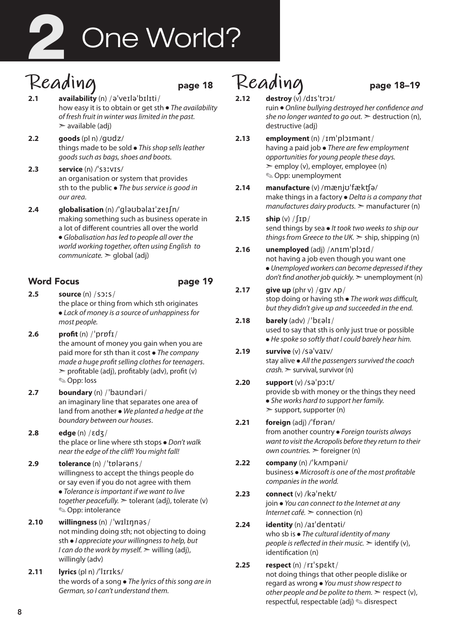# One World? 2

# Reading<br>2.1 availability (n) /ə<sup>1</sup>verlə<sup>1</sup>bɪlɪti/

- **2.1 availability** (n) /əˈveɪləˈbɪlɪti/ how easy it is to obtain or get sth ● *The availability of fresh fruit in winter was limited in the past.*   $\geq$  available (adi)
- **2.2 goods** (pl n) /gʊdz/ things made to be sold ● *This shop sells leather goods such as bags, shoes and boots.*
- **2.3 service** (n) /ˈsɜːvɪs/ an organisation or system that provides sth to the public ● *The bus service is good in our area.*
- **2.4 globalisation** (n) /ˈgləʊbəlaɪˈzeɪʃn/ making something such as business operate in a lot of different countries all over the world ● *Globalisation has led to people all over the world working together, often using English to communicate.* ➣ global (adj)

### Word Focus **page 19**

- **2.5 source** (n) /sɔːs/ the place or thing from which sth originates ● *Lack of money is a source of unhappiness for most people.*
- **2.6 profit** (n) /ˈprɒfɪ/ the amount of money you gain when you are paid more for sth than it cost ● *The company made a huge profit selling clothes for teenagers*.  $\ge$  profitable (adj), profitably (adv), profit (v) ✎ Opp: loss
- **2.7 boundary** (n) /ˈbaʊndəri/ an imaginary line that separates one area of land from another ● *We planted a hedge at the boundary between our houses*.
- **2.8 edge** (n) /ɛdʒ/ the place or line where sth stops ● *Don't walk near the edge of the cliff! You might fall!*
- **2.9 tolerance** (n) /ˈtɒlərəns/ willingness to accept the things people do or say even if you do not agree with them ● *Tolerance is important if we want to live together peacefully.* ➣ tolerant (adj), tolerate (v) ✎ Opp: intolerance
- **2.10 willingness** (n) /ˈwɪlɪŋnəs/ not minding doing sth; not objecting to doing sth ● *I appreciate your willingness to help, but I can do the work by myself.* > willing (adj), willingly (adv)
- **2.11 lyrics** (pl n) /ˈlɪrɪks/ the words of a song ● *The lyrics of this song are in German, so I can't understand them.*

# $\text{Realing}$  page 18-19

- 
- **2.12 destroy** (v) /dɪsˈtrɔɪ/ ruin ● *Online bullying destroyed her confidence and she no longer wanted to go out.*  $\geq$  destruction (n), destructive (adj)
- **2.13 employment** (n) /ɪmˈplɔɪmənt/ having a paid job ● *There are few employment opportunities for young people these days.*   $\geq$  employ (y), employer, employee (n) ✎ Opp: unemployment
- **2.14 manufacture** (v) /mænjʊˈfækʧə/ make things in a factory ● *Delta is a company that manufactures dairy products.* ➣ manufacturer (n)
- **2.15 ship** (v) /ʃɪp/ send things by sea ● *It took two weeks to ship our things from Greece to the UK.* ➣ ship, shipping (n)
- **2.16 unemployed** (adj) /ʌnɪmˈplɔɪd/ not having a job even though you want one ● *Unemployed workers can become depressed if they don't find another job quickly.* ➣ unemployment (n)
- **2.17 give up** (phr v) /gɪv ʌp/ stop doing or having sth ● *The work was difficult, but they didn't give up and succeeded in the end.*
- **2.18 barely** (adv) /ˈbɛəlɪ/ used to say that sth is only just true or possible ● *He spoke so softly that I could barely hear him.*
- **2.19 survive** (v) /səˈvaɪv/ stay alive ● *All the passengers survived the coach crash.* ➣ survival, survivor (n)
- **2.20 support** (v) /səˈpɔːt/ provide sb with money or the things they need ● *She works hard to support her family.*  $\geq$  support, supporter (n)
- **2.21 foreign** (adj) /ˈfɒrən/ from another country ● *Foreign tourists always want to visit the Acropolis before they return to their own countries.* ➣ foreigner (n)
- **2.22 company** (n) /ˈkʌmpəni/ business ● *Microsoft is one of the most profitable companies in the world.*
- **2.23 connect** (v) /kəˈnekt/ join ● *You can connect to the Internet at any Internet café.* ➣ connection (n)
- **2.24 identity** (n) /aɪˈdentəti/ who sb is ● *The cultural identity of many people is reflected in their music.*  $\geq$  identify (v), identification (n)
- **2.25 respect** (n) /rɪˈspɛkt/ not doing things that other people dislike or regard as wrong ● *You must show respect to other people and be polite to them.*  $\ge$  respect (v), respectful, respectable (adj) ✎ disrespect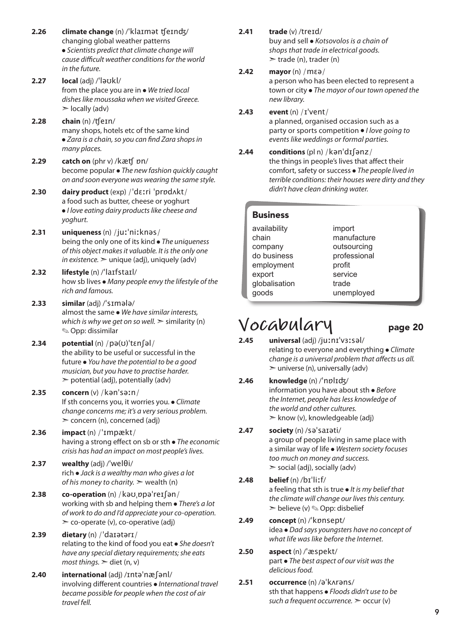**2.26 climate change** (n) /ˈklaɪmət ʧeɪnʤ/ changing global weather patterns ● *Scientists predict that climate change will cause difficult weather conditions for the world in the future.*  **2.27 local** (adj) /ˈləʊkl/ from the place you are in ● *We tried local disheslike moussaka when we visited Greece.*  $\geq$  locally (adv) **2.28 chain** (n) /ʧeɪn/ many shops, hotels etc of the same kind ● *Zara is a chain, so you can find Zara shops in many places.* **2.29 catch on** (phr v) /kæʧ ɒn/ become popular ● *The new fashion quickly caught on and soon everyone was wearing the same style.* **2.30 dairy product** (exp) /ˈdɛːri ˈprɒdʌkt/ a food such as butter, cheese or yoghurt ● *I love eating dairy products like cheese and yoghurt.*  **2.31 uniqueness** (n) /juːˈniːknəs/ being the only one of its kind ● *The uniqueness of this object makes it valuable. It is the only one in existence*.  $>$  *unique* (adj), *uniquely* (adv) **2.32 lifestyle** (n) /ˈlaɪfstaɪl/ how sb lives ● *Many people envy the lifestyle of the rich and famous.* **2.33 similar** (adj) /ˈsɪmələ/ almost the same ● *We have similar interests, which is why we get on so well.*  $\geq$  similarity (n) ✎ Opp: dissimilar **2.34 potential** (n) /pə(ʊ)ˈtɛnʃəl/ the ability to be useful or successful in the future ● *You have the potential to be a good musician, but you have to practise harder.*   $\geq$  potential (adj), potentially (adv) **2.35 concern** (v) /kənˈsəːn/ If sth concerns you, it worries you. ● *Climate change concerns me; it's a very serious problem.*  ➣ concern (n), concerned (adj) **2.36 impact** (n) /ˈɪmpækt/ having a strong effect on sb or sth ● *The economic crisis has had an impact on most people's lives.*  **2.37 wealthy** (adj) / $'$ wel $\theta$ i/ rich ● *Jack is a wealthy man who gives a lot of his money to charity.* ➣ wealth (n) **2.38 co-operation** (n) /kəʊˌɒpəˈreɪʃən/ working with sb and helping them ● *There's a lot of work to do and I'd appreciate your co-operation.*   $\geq$  co-operate (v), co-operative (adj) **2.39 dietary** (n) /ˈdaɪətərɪ/ relating to the kind of food you eat ● *She doesn't have any special dietary requirements; she eats most things.* ➣ diet (n, v) **2.40 international** (adj) /ɪntəˈnæʃənl/ involving different countries ● *International travel became possible for people when the cost of air travel fell.*

**2.41 trade** (v) /treɪd/

buy and sell ● *Kotsovolos is a chain of shops that trade in electrical goods.*   $\ge$  trade (n), trader (n)

#### **2.42 mayor** (n) /mɛə/

a person who has been elected to represent a town or city ● *The mayor of our town opened the new library.* 

#### **2.43 event** (n) /ɪˈvent/

a planned, organised occasion such as a party or sports competition ● *I love going to events like weddings or formal parties.* 

**2.44 conditions** (pl n) /kənˈdɪʃənz/ the things in people's lives that affect their comfort, safety or success ● *The people lived in terrible conditions: their houses were dirty and they didn't have clean drinking water.* 

| <b>Business</b>                                                                                   |                                                                                                  |  |
|---------------------------------------------------------------------------------------------------|--------------------------------------------------------------------------------------------------|--|
| availability<br>chain<br>company<br>do business<br>employment<br>export<br>globalisation<br>goods | import<br>manufacture<br>outsourcing<br>professional<br>profit<br>service<br>trade<br>unemployed |  |
|                                                                                                   |                                                                                                  |  |

## **Vocabulary** page 20

- **2.45 universal** (adj) /juːnɪˈvɜːsəl/ relating to everyone and everything ● *Climate change is a universal problem that affects us all.*  $\geq$  universe (n), universally (adv)
- **2.46 knowledge** (n) /ˈnɒlɪʤ/ information you have about sth ● *Before the Internet, people has less knowledge of the world and other cultures.*  $\triangleright$  know (v), knowledgeable (adj)

#### **2.47 society** (n) /səˈsaɪəti/

a group of people living in same place with a similar way of life ● *Western society focuses too much on money and success.*  $\ge$  social (adj), socially (adv)

**2.48 belief** (n) /bɪˈliːf/ a feeling that sth is true ● *It is my belief that the climate will change our lives this century.*  $\triangleright$  believe (v)  $\otimes$  Opp: disbelief

#### **2.49 concept** (n) /ˈkɒnsept/ idea ● *Dad says youngsters have no concept of what life was like before the Internet.*

**2.50 aspect** (n) /ˈæspekt/ part ● *The best aspect of our visit was the deliciousfood.*

#### **2.51 occurrence** (n) /əˈkʌrəns/ sth that happens ● *Floods didn't use to be such a frequent occurrence.* ➣ occur (v)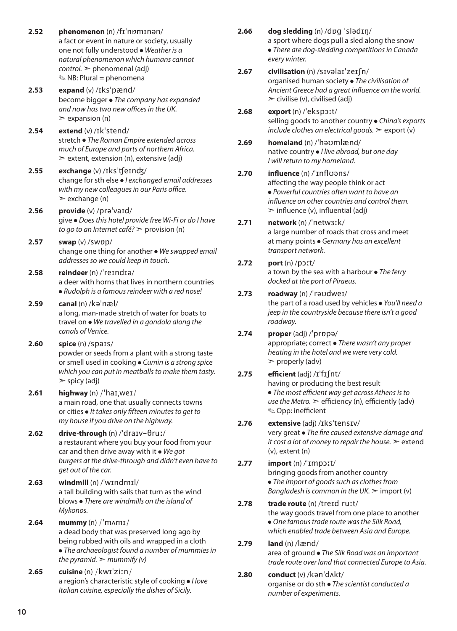**2.52 phenomenon** (n) /fɪˈnɒmɪnən/ a fact or event in nature or society, usually one not fully understood ● *Weather is a natural phenomenon which humans cannot control.* ➣ phenomenal (adj) ✎ NB: Plural = phenomena **2.53 expand** (v) /ɪksˈpænd/ become bigger ● *The company has expanded and now has two new offices in the UK.*  $\geq$  expansion (n) **2.54 extend** (v) /ɪkˈstend/ stretch ● *The Roman Empire extended across much of Europe and parts of northern Africa.*  $\ge$  extent, extension (n), extensive (adj) **2.55 exchange** (v) /ɪksˈʧeɪnʤ/ change for sth else ● *I exchanged email addresses with my new colleagues in our Paris office*.  $\ge$  exchange (n) **2.56 provide** (v) /prəˈvaɪd/ give ● *Does this hotel provide free Wi-Fi or do I have to go to an Internet café?* ➣ provision (n) **2.57 swap** (v) /swɒp/ change one thing for another ● *We swapped email addresses so we could keep in touch.* **2.58 reindeer** (n) /ˈreɪndɪə/ a deer with horns that lives in northern countries ● *Rudolph is a famous reindeer with a red nose!*  **2.59 canal** (n) /kəˈnæl/ a long, man-made stretch of water for boats to travel on ● *We travelled in a gondola along the canals of Venice.*  **2.60 spice** (n) /spaɪs/ powder or seeds from a plant with a strong taste or smell used in cooking ● *Cumin is a strong spice which you can put in meatballs to make them tasty.*  $\ge$  spicy (adj) **2.61 highway** (n) /ˈhaɪˌweɪ/ a main road, one that usually connects towns or cities ● *It takes only fifteen minutes to get to my house if you drive on the highway.*  **2.62 drive-through** (n) /ˈdraɪv-θruː/ a restaurant where you buy your food from your car and then drive away with it ● *We got burgers at the drive-through and didn't even have to get out of the car.* **2.63 windmill** (n) /ˈwɪndmɪl/ a tall building with sails that turn as the wind blows ● *There are windmills on the island of Mykonos.*  **2.64 mummy** (n) /ˈmʌmɪ/ a dead body that was preserved long ago by being rubbed with oils and wrapped in a cloth ● *The archaeologist found a number of mummies in the pyramid.*  $\geq$  *mummify (v)* **2.65 cuisine** (n) /kwɪˈziːn/ a region's characteristic style of cooking ● *I love Italian cuisine, especially the dishes of Sicily.* 

**2.66 dog sledding** (n) /dɒg ˈslədɪŋ/ a sport where dogs pull a sled along the snow ● *There are dog-sledding competitions in Canada every winter.*

- **2.67 civilisation** (n) /sɪvəlaɪˈzeɪʃn/ organised human society ● *The civilisation of Ancient Greece had a great influence on the world.*   $\ge$  civilise (v), civilised (adj)
- **2.68 export** (n) /ˈekspɔːt/ selling goods to another country ● *China's exports include clothes an electrical goods.* ➣ export (v)
- **2.69 homeland** (n) /ˈhəʊmlænd/ native country ● *I live abroad, but one day I will return to my homeland*.

#### **2.70 influence** (n) /ˈɪnflʊəns/ affecting the way people think or act ● *Powerful countries often want to have an influence on other countries and control them.*  $\geq$  influence (v), influential (adj)

- **2.71 network** (n) /ˈnetwɜːk/ a large number of roads that cross and meet at many points ● *Germany has an excellent transport network.*
- **2.72 port** (n) /pɔːt/ a town by the sea with a harbour ● *The ferry docked at the port of Piraeus.*

#### **2.73 roadway** (n) /ˈrəʊdweɪ/

the part of a road used by vehicles ● *You'll need a jeep in the countryside because there isn't a good roadway.*

#### **2.74 proper** (adj) /ˈprɒpə/ appropriate; correct ● *There wasn't any proper heating in the hotel and we were very cold.*  $\triangleright$  properly (adv)

#### **2.75 efficient** (adj) /ɪˈfɪʃnt/ having or producing the best result ● *The most efficient way get across Athens is to use the Metro.* ➣ efficiency (n), efficiently (adv) ✎ Opp: inefficient

### **2.76 extensive** (adj) /ɪksˈtensɪv/

very great ● *The fire caused extensive damage and it cost a lot of money to repair the house.* ➣ extend (v), extent (n)

#### **2.77 import** (n) /ˈɪmpɔːt/ bringing goods from another country ● *The import of goods such as clothes from Bangladesh is common in the UK.*  $\geq$  import (v)

#### **2.78 trade route** (n) /treɪd ruːt/ the way goods travel from one place to another ● *One famous trade route was the Silk Road, which enabled trade between Asia and Europe.*

#### **2.79 land** (n) /lænd/ area of ground ● *The Silk Road was an important trade route over land that connected Europe to Asia.*

**2.80 conduct** (v) /kənˈdʌkt/ organise or do sth ● *The scientist conducted a number of experiments.*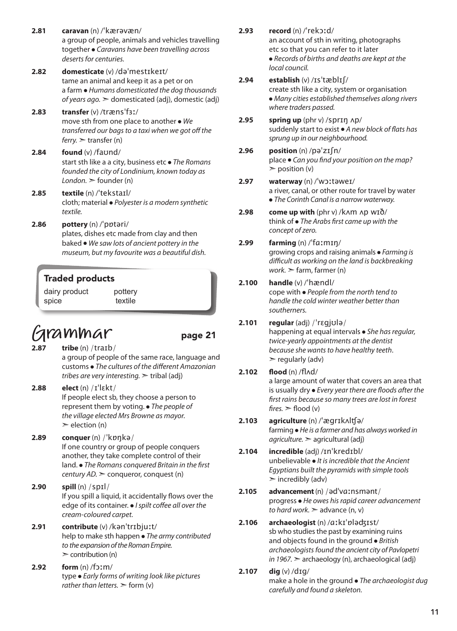- **2.81 caravan** (n) /ˈkærəvæn/ a group of people, animals and vehicles travelling together ● *Caravans have been travelling across deserts for centuries.*
- **2.82 domesticate** (v) /dəˈmestɪkeɪt/ tame an animal and keep it as a pet or on a farm ● *Humans domesticated the dog thousands of years ago.* ➣ domesticated (adj), domestic (adj)
- **2.83 transfer** (v) /trænsˈfɜː/ move sth from one place to another ● *We transferred our bags to a taxi when we got off the ferry.* ➣ transfer (n)
- **2.84 found** (v) /faʊnd/ start sth like a a city, business etc ● *The Romans founded the city of Londinium, known today as*   $London.$   $\ge$  founder (n)
- **2.85 textile** (n) /ˈtekstaɪl/ cloth; material ● *Polyester is a modern synthetic textile.*
- **2.86 pottery** (n) /ˈpɒtəri/ plates, dishes etc made from clay and then baked ● *We saw lots of ancient pottery in the museum, but my favourite was a beautiful dish.*

#### Traded products

dairy product spice pottery textile

## **Grammar** page 21

- **2.87 tribe** (n) /traɪb/ a group of people of the same race, language and customs ● *The cultures of the different Amazonian tribes are very interesting.* ➣ tribal (adj)
- **2.88 elect** (n) /ɪˈlɛkt/ If people elect sb, they choose a person to represent them by voting. ● *The people of the village elected Mrs Browne as mayor.*   $\geq$  election (n)
- **2.89 conquer** (n) /ˈkɒŋkə/ If one country or group of people conquers another, they take complete control of their land. ● *The Romans conquered Britain in the first century AD.* ➣ conqueror, conquest (n)
- **2.90 spill** (n) /spɪl/ If you spill a liquid, it accidentally flows over the edge of its container. ● *I spilt coffee all over the cream-coloured carpet.*
- **2.91 contribute** (v) /kənˈtrɪbjuːt/ help to make sth happen ● *The army contributed to the expansion of the Roman Empire.*  $\geq$  contribution (n)
- **2.92 form** (n) /fɔːm/ type ● *Early forms of writing look like pictures rather than letters.*  $\geq$  form (v)
- **2.93 record** (n) /ˈrekɔːd/ an account of sth in writing, photographs etc so that you can refer to it later ● *Records of births and deaths are kept at the local council.*
- **2.94 establish** (v) /ɪsˈtæblɪʃ/ create sth like a city, system or organisation ● *Many cities established themselves along rivers where traders passed.*
- **2.95 spring up** (phr v) /sprɪŋ ʌp/ suddenly start to exist ● *A new block of flats has sprung up in our neighbourhood.*
- **2.96 position** (n) /pəˈzɪʃn/ place ● *Can you find your position on the map?*  $\geq$  position (v)
- **2.97 waterway** (n) /ˈwɔːtəweɪ/ a river, canal, or other route for travel by water ● *The Corinth Canal is a narrow waterway.*
- **2.98 come up with** (phr v) /kʌm ʌp wɪð/ think of ● *The Arabs first came up with the concept of zero.*

#### **2.99 farming** (n) /ˈfɑːmɪŋ/ growing crops and raising animals ● *Farming is difficult as working on the land is backbreaking work.* ➣ farm, farmer (n)

#### **2.100 handle** (v) /ˈhændl/

cope with ● *People from the north tend to handle the cold winter weather better than southerners.*

#### **2.101 regular** (adj) /ˈrɛɡjʊlə/

happening at equal intervals ● *She has regular, twice-yearly appointments at the dentist because she wants to have healthy teeth*.  $\triangleright$  regularly (adv)

#### **2.102 flood** (n) /flʌd/

a large amount of water that covers an area that is usually dry ● *Every year there are floods after the first rains because so many trees are lost in forest*   $fires.$   $\ge$  flood (v)

**2.103 agriculture** (n) /ˈægrɪkʌlʧə/ farming ● *He is a farmer and has always worked in agriculture.* ➣ agricultural (adj)

#### **2.104 incredible** (adj) /ɪnˈkredɪbl/ unbelievable ● *It is incredible that the Ancient Egyptians built the pyramids with simple tools*  $\triangleright$  incredibly (adv)

- **2.105 advancement** (n) /ədˈvɑːnsmənt/ progress ● *He owes his rapid career advancement to hard work.* ➣ advance (n, v)
- **2.106 archaeologist** (n) /ɑːkɪˈɒləʤɪst/ sb who studies the past by examining ruins and objects found in the ground ● *British archaeologists found the ancient city of Pavlopetri in 1967.* ➣ archaeology (n), archaeological (adj)

#### **2.107 dig** (v) /dɪg/

make a hole in the ground ● *The archaeologist dug carefully and found a skeleton.*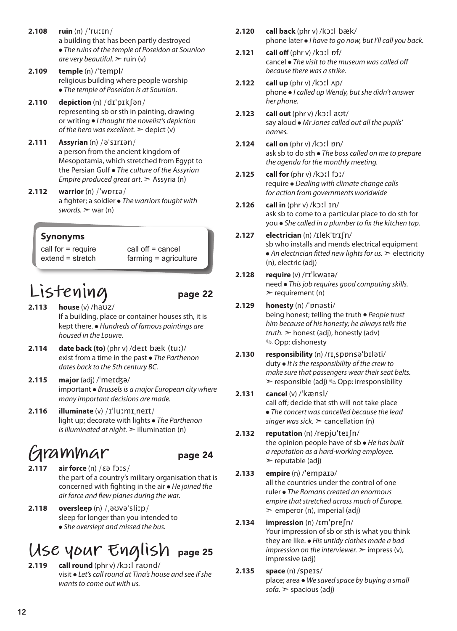- **2.108 ruin** (n) /ˈruːɪn/ a building that has been partly destroyed ● *The ruins of the temple of Poseidon at Sounion are very beautiful.* ➣ ruin (v)
- **2.109 temple** (n) /ˈtempl/ religious building where people worship ● *The temple of Poseidon is at Sounion.*
- **2.110 depiction** (n) /dɪˈpɪkʃən/ representing sb or sth in painting, drawing or writing ● *I thought the novelist's depiction of the hero was excellent.*  $\geq$  depict (v)
- **2.111 Assyrian** (n) /əˈsɪrɪən/ a person from the ancient kingdom of Mesopotamia, which stretched from Egypt to the Persian Gulf ● *The culture of the Assyrian Empire produced great art.* ➣ Assyria (n)
- **2.112 warrior** (n) /ˈwɒrɪə/ a fighter; a soldier ● *The warriors fought with swords.* ➣ war (n)

#### Synonyms

call for = require extend = stretch call off = cancel farming = agriculture

### **Listening** page 22

- **2.113 house** (v) /haʊz/ If a building, place or container houses sth, it is kept there. ● *Hundreds of famous paintings are housed in the Louvre.*
- **2.114 date back (to)** (phr v) /deɪt bæk (tuː)/ exist from a time in the past ● *The Parthenon dates back to the 5th century BC.*
- **2.115 major** (adj) /ˈmeɪʤə/ important ● *Brussels is a major European city where many important decisions are made.*
- **2.116 illuminate** (v) /ɪˈluːmɪˌneɪt/ light up; decorate with lights ● *The Parthenon is illuminated at night.*  $\geq$  illumination (n)

## **Grammar** page 24

- **2.117 air force** (n) /ɛə fɔːs/ the part of a country's military organisation that is concerned with fighting in the air ● *He joined the air force and flew planes during the war.*
- **2.118 oversleep** (n) /ˌəʊvəˈsliːp/ sleep for longer than you intended to ● *She overslept and missed the bus.*

## **Use your English** page 25

**2.119 call round** (phr v) /kɔːl raʊnd/ visit ● *Let's call round at Tina's house and see if she wants to come out with us.* 

- **2.120 call back** (phr v) /kɔːl bæk/ phone later ● *I have to go now, but I'll call you back.*
- **2.121 call off** (phr v) /kɔːl ɒf/ cancel ● *The visit to the museum was called off because there was a strike.*
- **2.122 call up** (phr v) /kɔːl ʌp/ phone ● *I called up Wendy, but she didn't answer her phone.*
- **2.123 call out** (phr v) /kɔːl aʊt/ say aloud ● *Mr Jones called out all the pupils' names.*
- **2.124 call on** (phr v) /kɔːl ɒn/ ask sb to do sth ● *The boss called on me to prepare the agenda for the monthly meeting.*
- **2.125 call for** (phr v) /kɔːl fɔː/ require ● *Dealing with climate change calls for action from governments worldwide*
- **2.126 call in** (phr v) /kɔːl ɪn/ ask sb to come to a particular place to do sth for you ● *She called in a plumber to fix the kitchen tap.*
- **2.127 electrician** (n) /ɪlekˈtrɪʃn/ sb who installs and mends electrical equipment  $\bullet$  *An electrician fitted new lights for us.*  $\geq$  electricity (n), electric (adj)
- **2.128 require** (v) /rɪˈkwaɪə/ need ● *This job requires good computing skills.*  $\ge$  requirement (n)

#### **2.129 honesty** (n) /ˈɒnəsti/ being honest; telling the truth ● *People trust him because of his honesty; he always tells the truth.* ➣ honest (adj), honestly (adv) ✎ Opp: dishonesty

- **2.130 responsibility** (n) /rɪˌspɒnsəˈbɪləti/ duty ● *It is the responsibility of the crew to make sure that passengers wear their seat belts.*  $\triangleright$  responsible (adj)  $\otimes$  Opp: irresponsibility
- **2.131 cancel** (v) /ˈkænsl/ call off; decide that sth will not take place ● *The concert was cancelled because the lead singer was sick.* ➣ cancellation (n)
- **2.132 reputation** (n) /repjʊˈteɪʃn/ the opinion people have of sb ● *He has built a reputation as a hard-working employee.*  $\triangleright$  reputable (adj)
- **2.133 empire** (n) /ˈempaɪə/ all the countries under the control of one ruler ● *The Romans created an enormous empire that stretched across much of Europe.*  $\geq$  emperor (n), imperial (adj)
- **2.134 impression** (n) /ɪmˈpreʃn/ Your impression of sb or sth is what you think they are like. ● *His untidy clothes made a bad impression on the interviewer.*  $\geq$  impress (v), impressive (adj)
- **2.135 space** (n) /speɪs/ place; area ● *We saved space by buying a small sofa.* ➣ spacious (adj)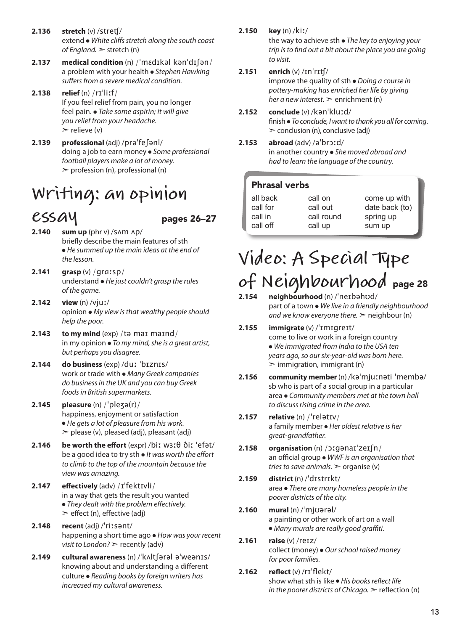- **2.136 stretch** (v) /streʧ/ extend ● *White cliffs stretch along the south coast of England.* ➣ stretch (n)
- **2.137 medical condition** (n) /ˈmɛdɪkəl kənˈdɪʃən/ a problem with your health ● *Stephen Hawking suffers from a severe medical condition.*
- **2.138 relief** (n) /rɪˈliːf/ If you feel relief from pain, you no longer feel pain. ● *Take some aspirin; it will give you relief from your headache.*   $\triangleright$  relieve (v)
- **2.139 professional** (adj) /prəˈfeʃənl/ doing a job to earn money ● *Some professional football players make a lot of money.*  $\ge$  profession (n), professional (n)

## **Writing: an opinion**

- $\mathcal{L}$ **SSAY** pages 26–27<br>2.140 sum up (phr v) /sʌm ʌp/ **2.140 sum up** (phr v) /sʌm ʌp/ briefly describe the main features of sth ● *He summed up the main ideas at the end of the lesson.*
- **2.141 grasp** (v) /ɡrɑːsp/ understand ● *He just couldn't grasp the rules of the game.*
- **2.142 view** (n) /vjuː/ opinion ● *My view is that wealthy people should help the poor.*
- **2.143 to my mind** (exp) /tə maɪ maɪnd/ in my opinion ● *To my mind, she is a great artist, but perhaps you disagree.*
- **2.144 do business** (exp) /duː ˈbɪznɪs/ work or trade with ● *Many Greek companies do business in the UK and you can buy Greek foodsin British supermarkets.*
- **2.145 pleasure** (n) /ˈpleʒə(r)/ happiness, enjoyment or satisfaction ● *He gets a lot of pleasure from his work.*   $\geq$  please (v), pleased (adj), pleasant (adj)
- **2.146 be worth the effort** (expr) /biː wɜːθ ðiː ˈefət/ be a good idea to try sth ● *It was worth the effort to climb to the top of the mountain because the view was amazing.*
- **2.147 effectively** (adv) /ɪˈfektɪvli/ in a way that gets the result you wanted ● *They dealt with the problem effectively.*   $\ge$  effect (n), effective (adj)
- **2.148 recent** (adj) /ˈriːsənt/ happening a short time ago ● *How was your recent visit to London?* ➣ recently (adv)
- **2.149 cultural awareness** (n) /ˈkʌltʃərəl əˈweənɪs/ knowing about and understanding a different culture ● *Reading books by foreign writers has increased my cultural awareness.*

#### **2.150 key** (n) /kiː/

the way to achieve sth ● *The key to enjoying your trip is to find out a bit about the place you are going to visit.*

#### **2.151 enrich** (v) /ɪnˈrɪʧ/

improve the quality of sth ● *Doing a course in pottery-making has enriched her life by giving her a new interest.* ➣ enrichment (n)

- **2.152 conclude** (v) /kənˈkluːd/ finish ● *To conclude, I want to thank you all for coming*.  $\geq$  conclusion (n), conclusive (adj)
- **2.153 abroad** (adv) /əˈbrɔːd/ in another country ● *She moved abroad and had to learn the language of the country.*

#### Phrasal verbs

| call on    | come up with   |
|------------|----------------|
| call out   | date back (to) |
| call round | spring up      |
| call up    | sum up         |
|            |                |

## **Video: A Special Type of Neighbourhood** page 28

- **2.154 neighbourhood** (n) /ˈneɪbəhʊd/ part of a town ● *We live in a friendly neighbourhood and we know everyone there.*  $\geq$  neighbour (n)
- **2.155 immigrate** (v) /ˈɪmɪgreɪt/ come to live or work in a foreign country ● *We immigrated from India to the USA ten years ago, so our six-year-old was born here.*  $\geq$  immigration, immigrant (n)
- **2.156 community member** (n) /kəˈmjuːnəti ˈmembə/ sb who is part of a social group in a particular area ● *Community members met at the town hall to discuss rising crime in the area.*
- **2.157 relative** (n) /ˈrelətɪv/ a family member ● *Her oldest relative is her great-grandfather.*
- **2.158 organisation** (n) /ɔːgənaɪˈzeɪʃn/ an official group ● *WWF is an organisation that tries to save animals.*  $\geq$  organise (v)
- **2.159 district** (n) /ˈdɪstrɪkt/ area ● *There are many homeless people in the poorer districts of the city.*
- **2.160 mural** (n) /ˈmjʊərəl/ a painting or other work of art on a wall ● *Many murals are really good graffiti.*
- **2.161 raise** (v) /reɪz/ collect (money) ● *Our school raised money for poor families.*
- **2.162 reflect** (v) /rɪˈflekt/ show what sth is like ● *His books reflect life in the poorer districts of Chicago.* ➣ reflection (n)